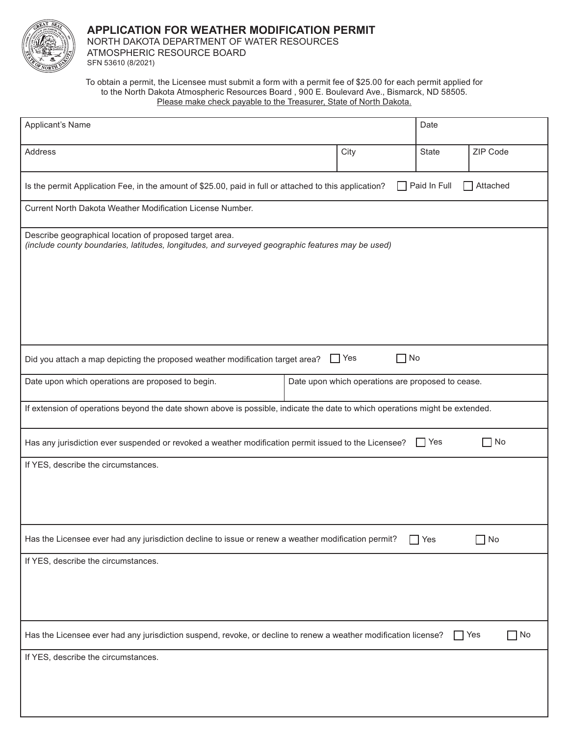

NORTH DAKOTA DEPARTMENT OF WATER RESOURCES ATMOSPHERIC RESOURCE BOARD

SFN 53610 (8/2021)

To obtain a permit, the Licensee must submit a form with a permit fee of \$25.00 for each permit applied for to the North Dakota Atmospheric Resources Board , 900 E. Boulevard Ave., Bismarck, ND 58505. Please make check payable to the Treasurer, State of North Dakota.

| Applicant's Name                                                                                                                                            |                                                   | Date         |                         |  |  |  |  |  |
|-------------------------------------------------------------------------------------------------------------------------------------------------------------|---------------------------------------------------|--------------|-------------------------|--|--|--|--|--|
| Address                                                                                                                                                     | City                                              | <b>State</b> | ZIP Code                |  |  |  |  |  |
| Paid In Full<br>Attached<br>Is the permit Application Fee, in the amount of \$25.00, paid in full or attached to this application?                          |                                                   |              |                         |  |  |  |  |  |
| Current North Dakota Weather Modification License Number.                                                                                                   |                                                   |              |                         |  |  |  |  |  |
| Describe geographical location of proposed target area.<br>(include county boundaries, latitudes, longitudes, and surveyed geographic features may be used) |                                                   |              |                         |  |  |  |  |  |
|                                                                                                                                                             |                                                   |              |                         |  |  |  |  |  |
| No<br>$\Box$ Yes<br>Did you attach a map depicting the proposed weather modification target area?                                                           |                                                   |              |                         |  |  |  |  |  |
| Date upon which operations are proposed to begin.                                                                                                           | Date upon which operations are proposed to cease. |              |                         |  |  |  |  |  |
| If extension of operations beyond the date shown above is possible, indicate the date to which operations might be extended.                                |                                                   |              |                         |  |  |  |  |  |
| $\sqcap$ No<br>Has any jurisdiction ever suspended or revoked a weather modification permit issued to the Licensee?<br>l IYes                               |                                                   |              |                         |  |  |  |  |  |
| If YES, describe the circumstances.                                                                                                                         |                                                   |              |                         |  |  |  |  |  |
| Has the Licensee ever had any jurisdiction decline to issue or renew a weather modification permit?<br>No<br>Yes                                            |                                                   |              |                         |  |  |  |  |  |
| If YES, describe the circumstances.                                                                                                                         |                                                   |              |                         |  |  |  |  |  |
| Has the Licensee ever had any jurisdiction suspend, revoke, or decline to renew a weather modification license?                                             |                                                   |              | $\Box$ No<br>$\Box$ Yes |  |  |  |  |  |
| If YES, describe the circumstances.                                                                                                                         |                                                   |              |                         |  |  |  |  |  |